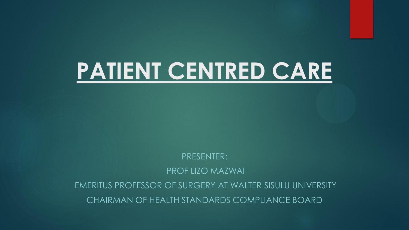# **PATIENT CENTRED CARE**

PRESENTER: PROF LIZO MAZWAI EMERITUS PROFESSOR OF SURGERY AT WALTER SISULU UNIVERSITY

CHAIRMAN OF HEALTH STANDARDS COMPLIANCE BOARD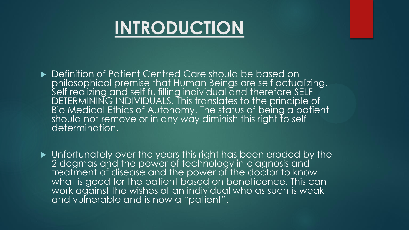### **INTRODUCTION**

- ▶ Definition of Patient Centred Care should be based on philosophical premise that Human Beings are self actualizing. Self realizing and self fulfilling individual and therefore SELF DETERMINING INDIVIDUALS. This translates to the principle of Bio Medical Ethics of Autonomy. The status of being a patient should not remove or in any way diminish this right to self determination.
- $\blacktriangleright$  Unfortunately over the years this right has been eroded by the 2 dogmas and the power of technology in diagnosis and treatment of disease and the power of the doctor to know what is good for the patient based on beneficence. This can work against the wishes of an individual who as such is weak and vulnerable and is now a "patient".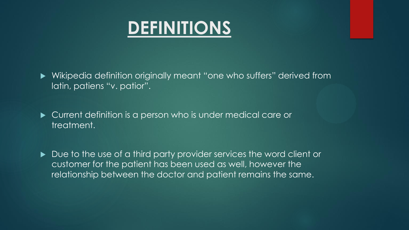#### **DEFINITIONS**

 Wikipedia definition originally meant "one who suffers" derived from latin, patiens "v. patior".

 Current definition is a person who is under medical care or treatment.

Due to the use of a third party provider services the word client or customer for the patient has been used as well, however the relationship between the doctor and patient remains the same.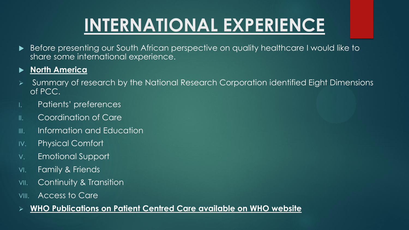## **INTERNATIONAL EXPERIENCE**

 Before presenting our South African perspective on quality healthcare I would like to share some international experience.

#### **North America**

- Summary of research by the National Research Corporation identified Eight Dimensions of PCC.
- I. Patients' preferences
- II. Coordination of Care
- III. Information and Education
- IV. Physical Comfort
- V. Emotional Support
- VI. Family & Friends
- VII. Continuity & Transition
- VIII. Access to Care
- **WHO Publications on Patient Centred Care available on WHO website**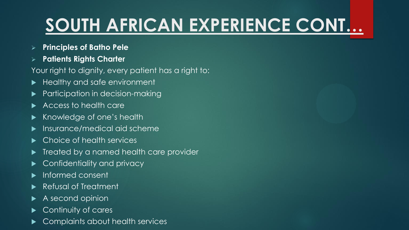# **SOUTH AFRICAN EXPERIENCE CONT…**

- **Principles of Batho Pele**
- **Patients Rights Charter**

Your right to dignity, every patient has a right to:

- Healthy and safe environment
- Participation in decision-making
- Access to health care
- Knowledge of one's health
- **Insurance/medical aid scheme**
- ▶ Choice of health services
- **Treated by a named health care provider**
- Confidentiality and privacy
- Informed consent
- Refusal of Treatment
- $\blacktriangleright$  A second opinion
- Continuity of cares
- Complaints about health services